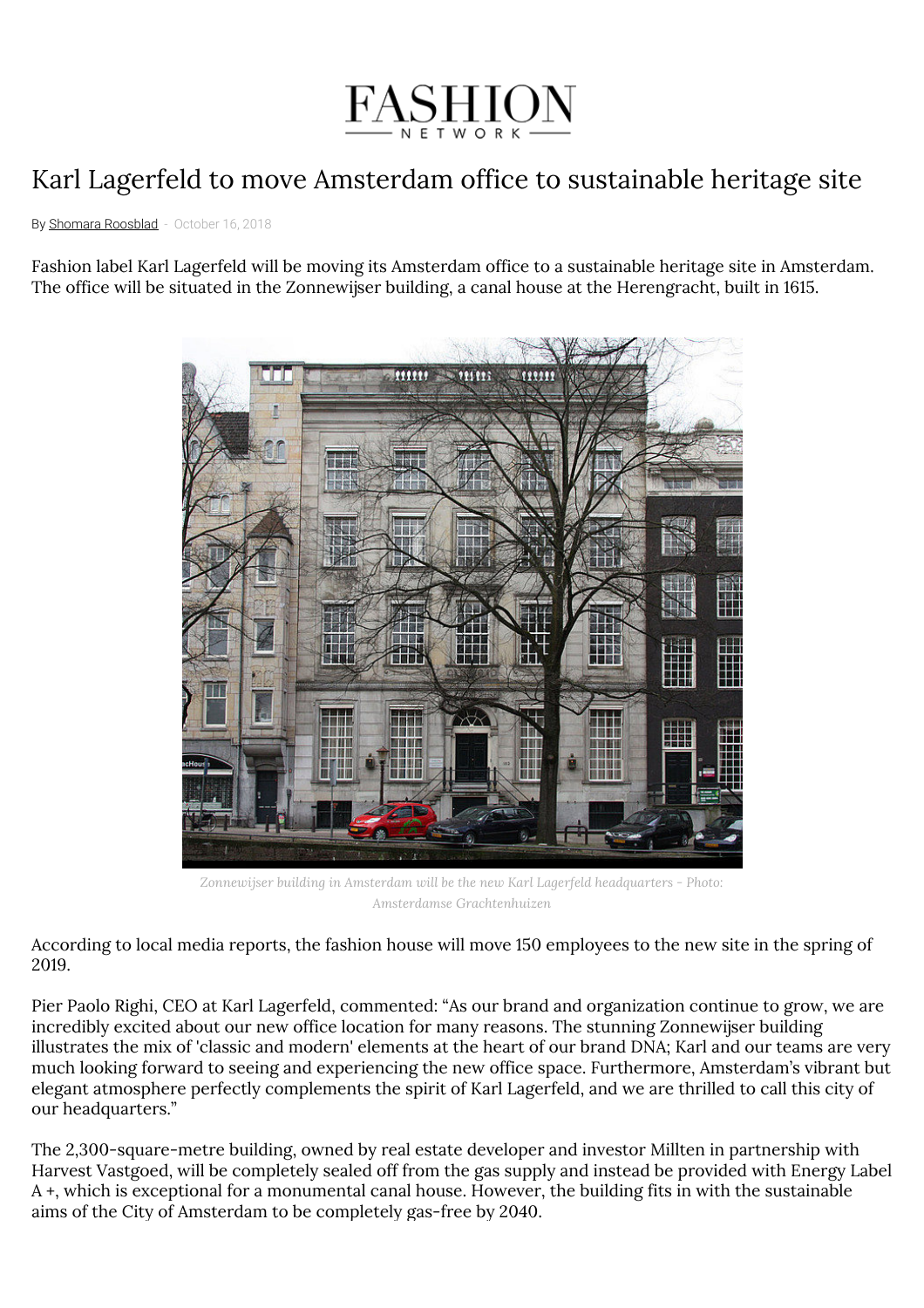

## Karl Lagerfeld to move Amsterdam office to sustainable heritage site

By Shomara [Roosblad](https://us.fashionnetwork.com/author/Shomara-Roosblad.html) - October 16, 2018

Fashion label Karl Lagerfeld will be moving its Amsterdam office to a sustainable heritage site in Amsterdam. The office will be situated in the Zonnewijser building, a canal house at the Herengracht, built in 1615.



*Zonnewijser building in Amsterdam will be the new Karl Lagerfeld headquarters - Photo: Amsterdamse Grachtenhuizen*

According to local media reports, the fashion house will move 150 employees to the new site in the spring of 2019.

Pier Paolo Righi, CEO at Karl Lagerfeld, commented: "As our brand and organization continue to grow, we are incredibly excited about our new office location for many reasons. The stunning Zonnewijser building illustrates the mix of 'classic and modern' elements at the heart of our brand DNA; Karl and our teams are very much looking forward to seeing and experiencing the new office space. Furthermore, Amsterdam's vibrant but elegant atmosphere perfectly complements the spirit of Karl Lagerfeld, and we are thrilled to call this city of our headquarters."

The 2,300-square-metre building, owned by real estate developer and investor Millten in partnership with Harvest Vastgoed, will be completely sealed off from the gas supply and instead be provided with Energy Label A +, which is exceptional for a monumental canal house. However, the building fits in with the sustainable aims of the City of Amsterdam to be completely gas-free by 2040.